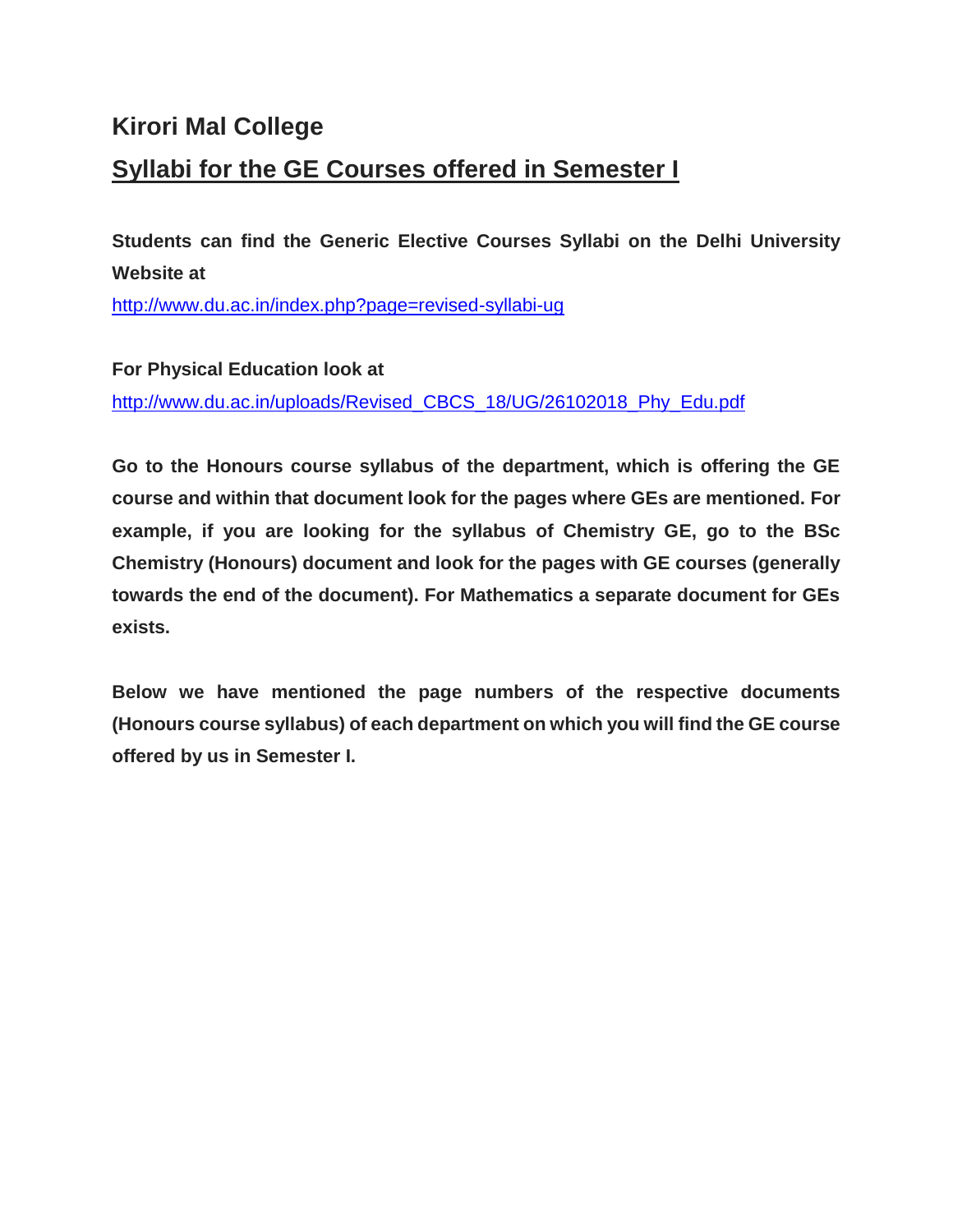## **Kirori Mal College Syllabi for the GE Courses offered in Semester I**

**Students can find the Generic Elective Courses Syllabi on the Delhi University Website at**

<http://www.du.ac.in/index.php?page=revised-syllabi-ug>

**For Physical Education look at** [http://www.du.ac.in/uploads/Revised\\_CBCS\\_18/UG/26102018\\_Phy\\_Edu.pdf](http://www.du.ac.in/uploads/Revised_CBCS_18/UG/26102018_Phy_Edu.pdf)

**Go to the Honours course syllabus of the department, which is offering the GE course and within that document look for the pages where GEs are mentioned. For example, if you are looking for the syllabus of Chemistry GE, go to the BSc Chemistry (Honours) document and look for the pages with GE courses (generally towards the end of the document). For Mathematics a separate document for GEs exists.**

**Below we have mentioned the page numbers of the respective documents (Honours course syllabus) of each department on which you will find the GE course offered by us in Semester I.**